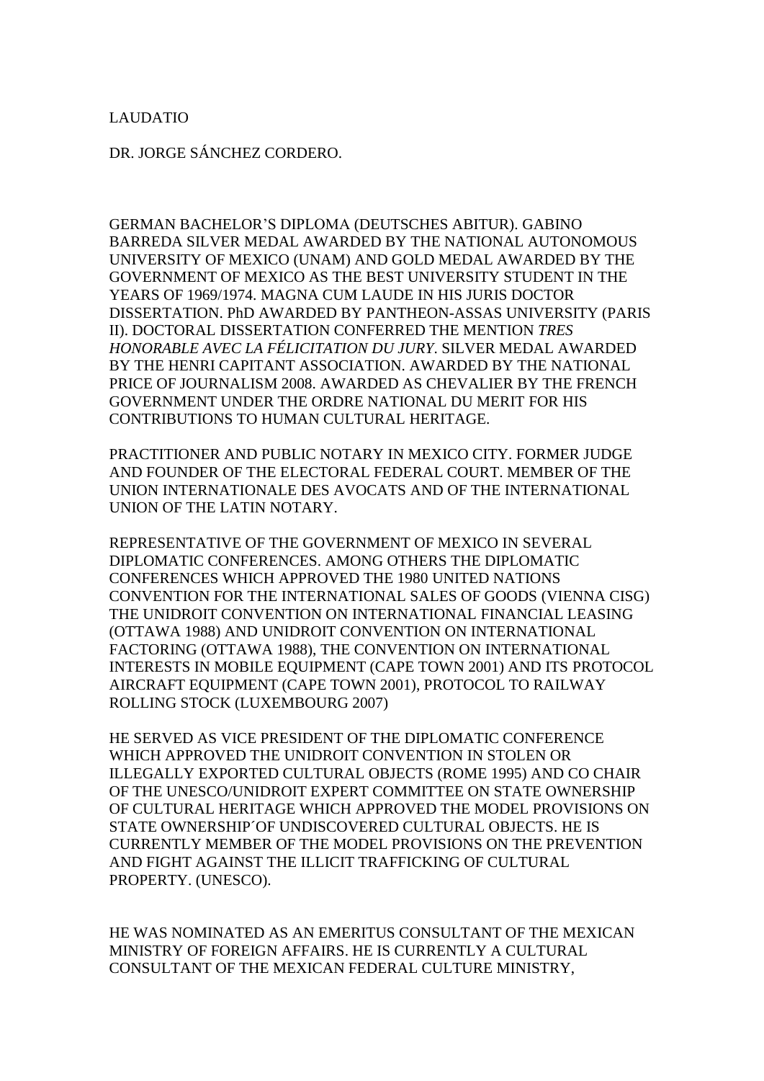LAUDATIO

DR. JORGE SÁNCHEZ CORDERO.

GERMAN BACHELOR'S DIPLOMA (DEUTSCHES ABITUR). GABINO BARREDA SILVER MEDAL AWARDED BY THE NATIONAL AUTONOMOUS UNIVERSITY OF MEXICO (UNAM) AND GOLD MEDAL AWARDED BY THE GOVERNMENT OF MEXICO AS THE BEST UNIVERSITY STUDENT IN THE YEARS OF 1969/1974. MAGNA CUM LAUDE IN HIS JURIS DOCTOR DISSERTATION. PhD AWARDED BY PANTHEON-ASSAS UNIVERSITY (PARIS II). DOCTORAL DISSERTATION CONFERRED THE MENTION *TRES HONORABLE AVEC LA FÉLICITATION DU JURY*. SILVER MEDAL AWARDED BY THE HENRI CAPITANT ASSOCIATION. AWARDED BY THE NATIONAL PRICE OF JOURNALISM 2008. AWARDED AS CHEVALIER BY THE FRENCH GOVERNMENT UNDER THE ORDRE NATIONAL DU MERIT FOR HIS CONTRIBUTIONS TO HUMAN CULTURAL HERITAGE.

PRACTITIONER AND PUBLIC NOTARY IN MEXICO CITY. FORMER JUDGE AND FOUNDER OF THE ELECTORAL FEDERAL COURT. MEMBER OF THE UNION INTERNATIONALE DES AVOCATS AND OF THE INTERNATIONAL UNION OF THE LATIN NOTARY.

REPRESENTATIVE OF THE GOVERNMENT OF MEXICO IN SEVERAL DIPLOMATIC CONFERENCES. AMONG OTHERS THE DIPLOMATIC CONFERENCES WHICH APPROVED THE 1980 UNITED NATIONS CONVENTION FOR THE INTERNATIONAL SALES OF GOODS (VIENNA CISG) THE UNIDROIT CONVENTION ON INTERNATIONAL FINANCIAL LEASING (OTTAWA 1988) AND UNIDROIT CONVENTION ON INTERNATIONAL FACTORING (OTTAWA 1988), THE CONVENTION ON INTERNATIONAL INTERESTS IN MOBILE EQUIPMENT (CAPE TOWN 2001) AND ITS PROTOCOL AIRCRAFT EQUIPMENT (CAPE TOWN 2001), PROTOCOL TO RAILWAY ROLLING STOCK (LUXEMBOURG 2007)

HE SERVED AS VICE PRESIDENT OF THE DIPLOMATIC CONFERENCE WHICH APPROVED THE UNIDROIT CONVENTION IN STOLEN OR ILLEGALLY EXPORTED CULTURAL OBJECTS (ROME 1995) AND CO CHAIR OF THE UNESCO/UNIDROIT EXPERT COMMITTEE ON STATE OWNERSHIP OF CULTURAL HERITAGE WHICH APPROVED THE MODEL PROVISIONS ON STATE OWNERSHIP´OF UNDISCOVERED CULTURAL OBJECTS. HE IS CURRENTLY MEMBER OF THE MODEL PROVISIONS ON THE PREVENTION AND FIGHT AGAINST THE ILLICIT TRAFFICKING OF CULTURAL PROPERTY. (UNESCO).

HE WAS NOMINATED AS AN EMERITUS CONSULTANT OF THE MEXICAN MINISTRY OF FOREIGN AFFAIRS. HE IS CURRENTLY A CULTURAL CONSULTANT OF THE MEXICAN FEDERAL CULTURE MINISTRY,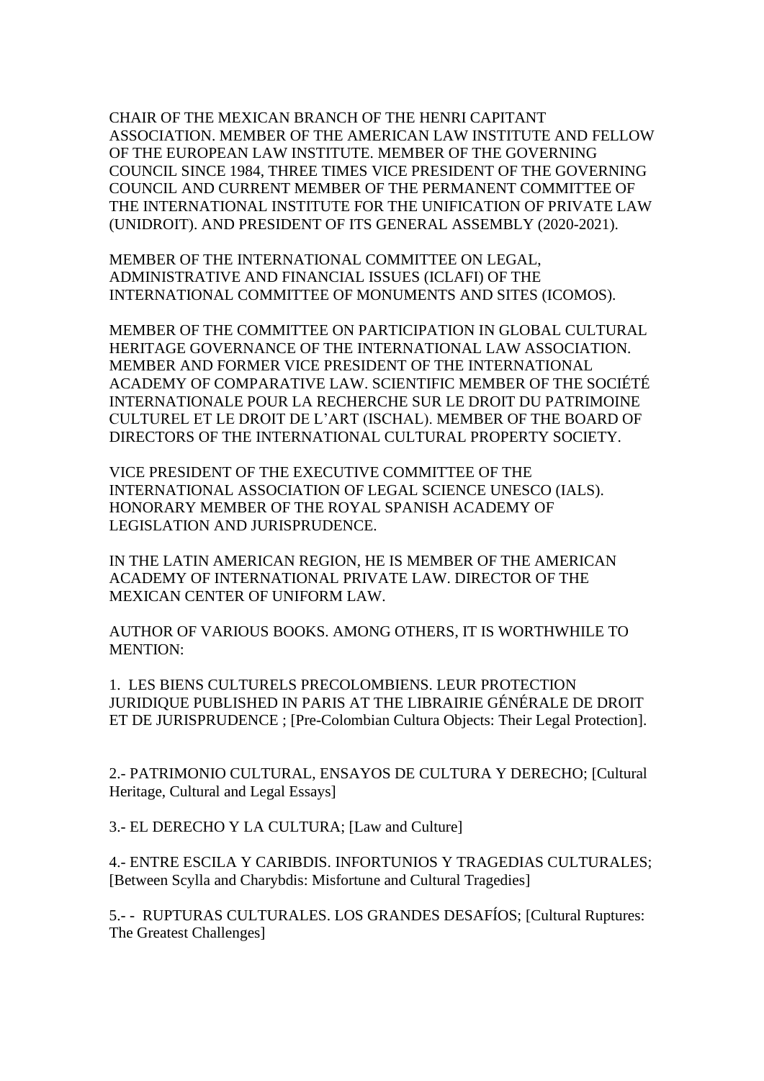CHAIR OF THE MEXICAN BRANCH OF THE HENRI CAPITANT ASSOCIATION. MEMBER OF THE AMERICAN LAW INSTITUTE AND FELLOW OF THE EUROPEAN LAW INSTITUTE. MEMBER OF THE GOVERNING COUNCIL SINCE 1984, THREE TIMES VICE PRESIDENT OF THE GOVERNING COUNCIL AND CURRENT MEMBER OF THE PERMANENT COMMITTEE OF THE INTERNATIONAL INSTITUTE FOR THE UNIFICATION OF PRIVATE LAW (UNIDROIT). AND PRESIDENT OF ITS GENERAL ASSEMBLY (2020-2021).

MEMBER OF THE INTERNATIONAL COMMITTEE ON LEGAL, ADMINISTRATIVE AND FINANCIAL ISSUES (ICLAFI) OF THE INTERNATIONAL COMMITTEE OF MONUMENTS AND SITES (ICOMOS).

MEMBER OF THE COMMITTEE ON PARTICIPATION IN GLOBAL CULTURAL HERITAGE GOVERNANCE OF THE INTERNATIONAL LAW ASSOCIATION. MEMBER AND FORMER VICE PRESIDENT OF THE INTERNATIONAL ACADEMY OF COMPARATIVE LAW. SCIENTIFIC MEMBER OF THE SOCIÉTÉ INTERNATIONALE POUR LA RECHERCHE SUR LE DROIT DU PATRIMOINE CULTUREL ET LE DROIT DE L'ART (ISCHAL). MEMBER OF THE BOARD OF DIRECTORS OF THE INTERNATIONAL CULTURAL PROPERTY SOCIETY.

VICE PRESIDENT OF THE EXECUTIVE COMMITTEE OF THE INTERNATIONAL ASSOCIATION OF LEGAL SCIENCE UNESCO (IALS). HONORARY MEMBER OF THE ROYAL SPANISH ACADEMY OF LEGISLATION AND JURISPRUDENCE.

IN THE LATIN AMERICAN REGION, HE IS MEMBER OF THE AMERICAN ACADEMY OF INTERNATIONAL PRIVATE LAW. DIRECTOR OF THE MEXICAN CENTER OF UNIFORM LAW.

AUTHOR OF VARIOUS BOOKS. AMONG OTHERS, IT IS WORTHWHILE TO MENTION:

1. LES BIENS CULTURELS PRECOLOMBIENS. LEUR PROTECTION JURIDIQUE PUBLISHED IN PARIS AT THE LIBRAIRIE GÉNÉRALE DE DROIT ET DE JURISPRUDENCE ; [Pre-Colombian Cultura Objects: Their Legal Protection].

2.- PATRIMONIO CULTURAL, ENSAYOS DE CULTURA Y DERECHO; [Cultural Heritage, Cultural and Legal Essays]

3.- EL DERECHO Y LA CULTURA; [Law and Culture]

4.- ENTRE ESCILA Y CARIBDIS. INFORTUNIOS Y TRAGEDIAS CULTURALES; [Between Scylla and Charybdis: Misfortune and Cultural Tragedies]

5.- - RUPTURAS CULTURALES. LOS GRANDES DESAFÍOS; [Cultural Ruptures: The Greatest Challenges]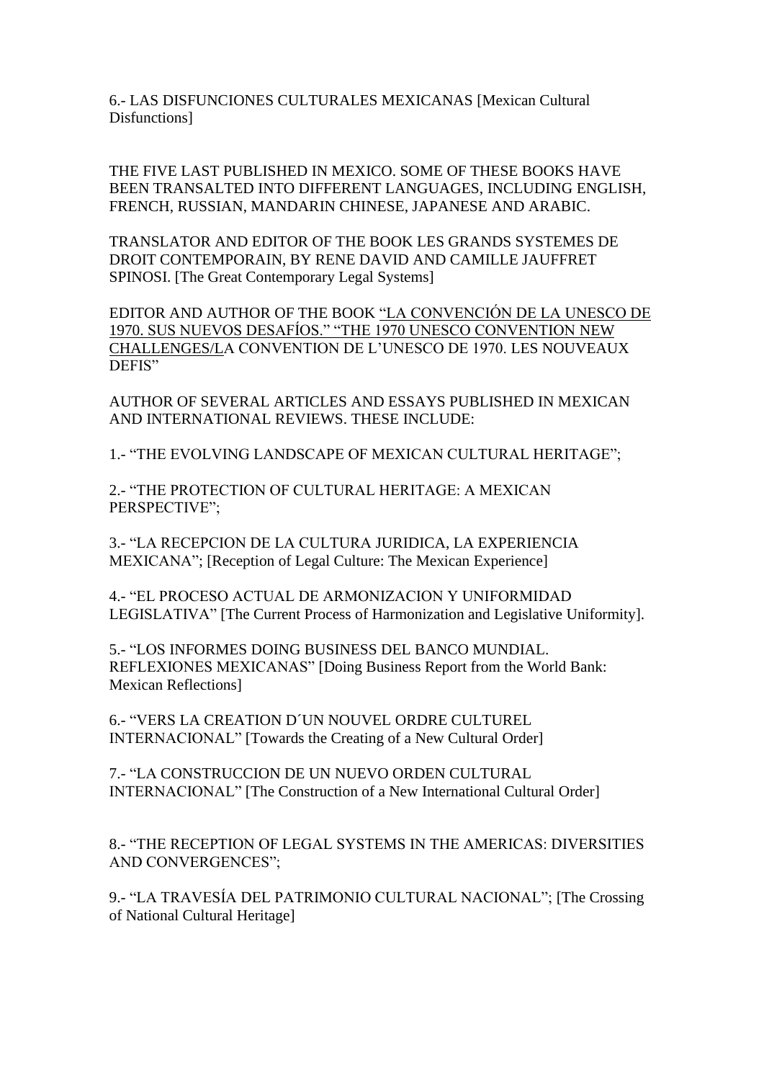6.- LAS DISFUNCIONES CULTURALES MEXICANAS [Mexican Cultural Disfunctions]

THE FIVE LAST PUBLISHED IN MEXICO. SOME OF THESE BOOKS HAVE BEEN TRANSALTED INTO DIFFERENT LANGUAGES, INCLUDING ENGLISH, FRENCH, RUSSIAN, MANDARIN CHINESE, JAPANESE AND ARABIC.

TRANSLATOR AND EDITOR OF THE BOOK LES GRANDS SYSTEMES DE DROIT CONTEMPORAIN, BY RENE DAVID AND CAMILLE JAUFFRET SPINOSI. [The Great Contemporary Legal Systems]

EDITOR AND AUTHOR OF THE BOOK "LA CONVENCIÓN DE LA UNESCO DE 1970. SUS NUEVOS DESAFÍOS." "THE 1970 UNESCO CONVENTION NEW CHALLENGES/LA CONVENTION DE L'UNESCO DE 1970. LES NOUVEAUX DEFIS"

AUTHOR OF SEVERAL ARTICLES AND ESSAYS PUBLISHED IN MEXICAN AND INTERNATIONAL REVIEWS. THESE INCLUDE:

1.- "THE EVOLVING LANDSCAPE OF MEXICAN CULTURAL HERITAGE";

2.- "THE PROTECTION OF CULTURAL HERITAGE: A MEXICAN PERSPECTIVE";

3.- "LA RECEPCION DE LA CULTURA JURIDICA, LA EXPERIENCIA MEXICANA"; [Reception of Legal Culture: The Mexican Experience]

4.- "EL PROCESO ACTUAL DE ARMONIZACION Y UNIFORMIDAD LEGISLATIVA" [The Current Process of Harmonization and Legislative Uniformity].

5.- "LOS INFORMES DOING BUSINESS DEL BANCO MUNDIAL. REFLEXIONES MEXICANAS" [Doing Business Report from the World Bank: Mexican Reflections]

6.- "VERS LA CREATION D´UN NOUVEL ORDRE CULTUREL INTERNACIONAL" [Towards the Creating of a New Cultural Order]

7.- "LA CONSTRUCCION DE UN NUEVO ORDEN CULTURAL INTERNACIONAL" [The Construction of a New International Cultural Order]

8.- "THE RECEPTION OF LEGAL SYSTEMS IN THE AMERICAS: DIVERSITIES AND CONVERGENCES";

9.- "LA TRAVESÍA DEL PATRIMONIO CULTURAL NACIONAL"; [The Crossing of National Cultural Heritage]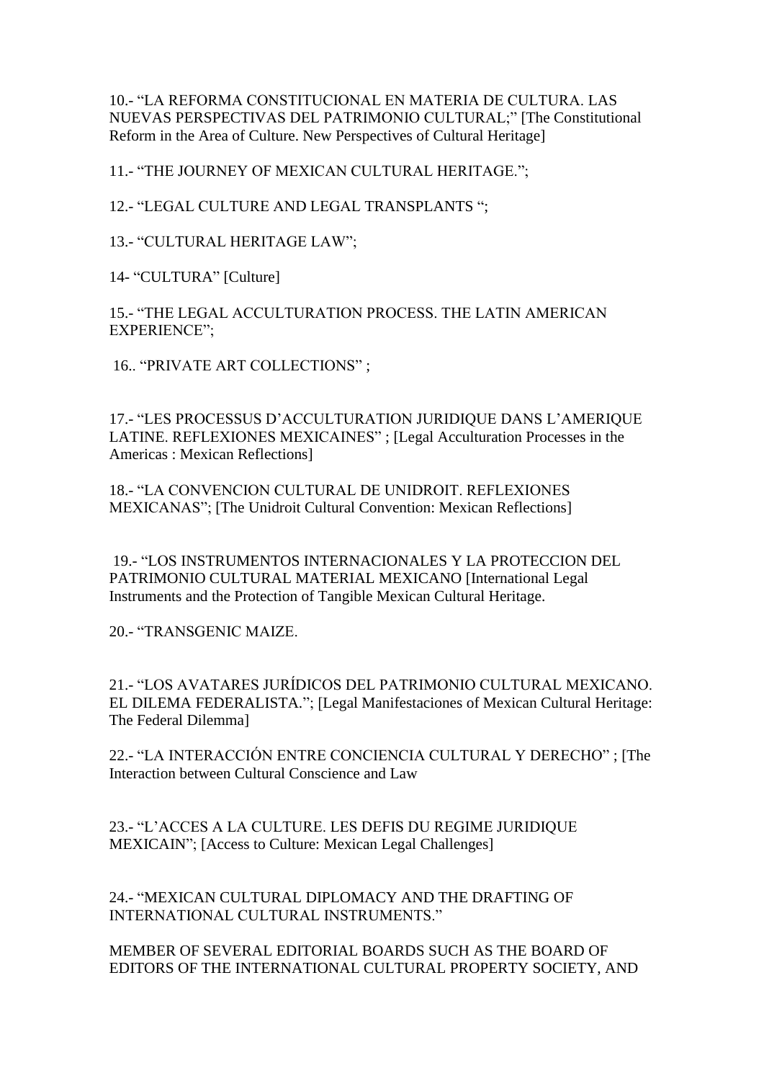10.- "LA REFORMA CONSTITUCIONAL EN MATERIA DE CULTURA. LAS NUEVAS PERSPECTIVAS DEL PATRIMONIO CULTURAL;" [The Constitutional Reform in the Area of Culture. New Perspectives of Cultural Heritage]

11.- "THE JOURNEY OF MEXICAN CULTURAL HERITAGE.";

12.- "LEGAL CULTURE AND LEGAL TRANSPLANTS ";

13.- "CULTURAL HERITAGE LAW";

14- "CULTURA" [Culture]

15.- "THE LEGAL ACCULTURATION PROCESS. THE LATIN AMERICAN EXPERIENCE";

16.. "PRIVATE ART COLLECTIONS" ;

17.- "LES PROCESSUS D'ACCULTURATION JURIDIQUE DANS L'AMERIQUE LATINE. REFLEXIONES MEXICAINES" ; [Legal Acculturation Processes in the Americas : Mexican Reflections]

18.- "LA CONVENCION CULTURAL DE UNIDROIT. REFLEXIONES MEXICANAS"; [The Unidroit Cultural Convention: Mexican Reflections]

19.- "LOS INSTRUMENTOS INTERNACIONALES Y LA PROTECCION DEL PATRIMONIO CULTURAL MATERIAL MEXICANO [International Legal Instruments and the Protection of Tangible Mexican Cultural Heritage.

20.- "TRANSGENIC MAIZE.

21.- "LOS AVATARES JURÍDICOS DEL PATRIMONIO CULTURAL MEXICANO. EL DILEMA FEDERALISTA."; [Legal Manifestaciones of Mexican Cultural Heritage: The Federal Dilemma]

22.- "LA INTERACCIÓN ENTRE CONCIENCIA CULTURAL Y DERECHO" ; [The Interaction between Cultural Conscience and Law

23.- "L'ACCES A LA CULTURE. LES DEFIS DU REGIME JURIDIQUE MEXICAIN"; [Access to Culture: Mexican Legal Challenges]

24.- "MEXICAN CULTURAL DIPLOMACY AND THE DRAFTING OF INTERNATIONAL CULTURAL INSTRUMENTS."

MEMBER OF SEVERAL EDITORIAL BOARDS SUCH AS THE BOARD OF EDITORS OF THE INTERNATIONAL CULTURAL PROPERTY SOCIETY, AND